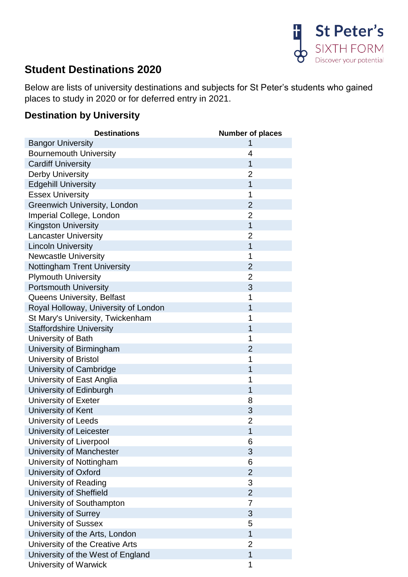

## **Student Destinations 2020**

Below are lists of university destinations and subjects for St Peter's students who gained places to study in 2020 or for deferred entry in 2021.

## **Destination by University**

| <b>Destinations</b>                  | <b>Number of places</b> |
|--------------------------------------|-------------------------|
| <b>Bangor University</b>             |                         |
| <b>Bournemouth University</b>        | 4                       |
| <b>Cardiff University</b>            | 1                       |
| <b>Derby University</b>              | $\overline{2}$          |
| <b>Edgehill University</b>           | $\overline{1}$          |
| <b>Essex University</b>              | 1                       |
| <b>Greenwich University, London</b>  | $\overline{2}$          |
| Imperial College, London             | $\overline{2}$          |
| <b>Kingston University</b>           | $\mathbf{1}$            |
| <b>Lancaster University</b>          | $\overline{2}$          |
| <b>Lincoln University</b>            | $\overline{1}$          |
| <b>Newcastle University</b>          | 1                       |
| <b>Nottingham Trent University</b>   | $\overline{2}$          |
| <b>Plymouth University</b>           | $\overline{2}$          |
| <b>Portsmouth University</b>         | 3                       |
| Queens University, Belfast           | 1                       |
| Royal Holloway, University of London | 1                       |
| St Mary's University, Twickenham     | 1                       |
| <b>Staffordshire University</b>      | 1                       |
| University of Bath                   | 1                       |
| University of Birmingham             | $\overline{2}$          |
| University of Bristol                | 1                       |
| University of Cambridge              | 1                       |
| University of East Anglia            | 1                       |
| University of Edinburgh              | 1                       |
| University of Exeter                 | 8                       |
| University of Kent                   | 3                       |
| University of Leeds                  | $\overline{2}$          |
| University of Leicester              | 1                       |
| University of Liverpool              | 6                       |
| University of Manchester             | 3                       |
| University of Nottingham             | 6                       |
| University of Oxford                 | $\overline{2}$          |
| University of Reading                | 3                       |
| University of Sheffield              | $\overline{2}$          |
| University of Southampton            | 7                       |
| University of Surrey                 | 3                       |
| <b>University of Sussex</b>          | 5                       |
| University of the Arts, London       | $\mathbf{1}$            |
| University of the Creative Arts      | 2                       |
| University of the West of England    | $\mathbf 1$             |
| University of Warwick                | 1                       |